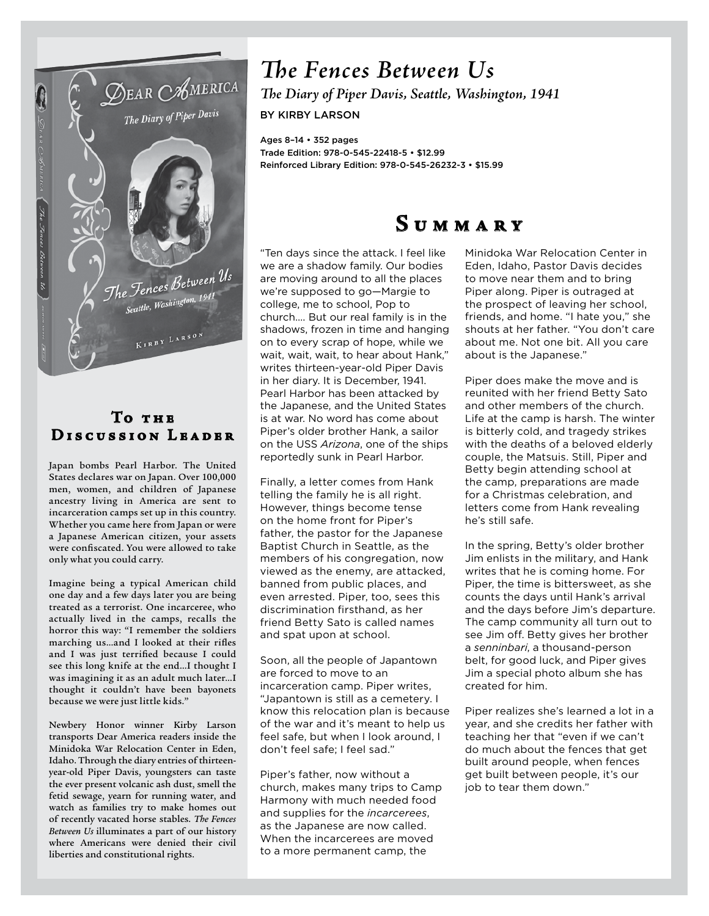

#### T<sub>o</sub> тнв DISCUSSION LEADER

Japan bombs Pearl Harbor. The United States declares war on Japan. Over 100,000 men, women, and children of Japanese ancestry living in America are sent to incarceration camps set up in this country. Whether you came here from Japan or were a Japanese American citizen, your assets were confiscated. You were allowed to take only what you could carry.

Imagine being a typical American child one day and a few days later you are being treated as a terrorist. One incarceree, who actually lived in the camps, recalls the horror this way: "I remember the soldiers marching us…and I looked at their rifles and I was just terrified because I could see this long knife at the end…I thought I was imagining it as an adult much later…I thought it couldn't have been bayonets because we were just little kids."

Newbery Honor winner Kirby Larson transports Dear America readers inside the Minidoka War Relocation Center in Eden, Idaho. Through the diary entries of thirteenyear-old Piper Davis, youngsters can taste the ever present volcanic ash dust, smell the fetid sewage, yearn for running water, and watch as families try to make homes out of recently vacated horse stables. *The Fences Between Us* illuminates a part of our history where Americans were denied their civil liberties and constitutional rights.

## *The Fences Between Us*

*The Diary of Piper Davis, Seattle, Washington, 1941* BY KIRBY LARSON

Ages 8–14 • 352 pages Trade Edition: 978-0-545-22418-5 • \$12.99 Reinforced Library Edition: 978-0-545-26232-3 • \$15.99

## **S u m m a r y**

"Ten days since the attack. I feel like we are a shadow family. Our bodies are moving around to all the places we're supposed to go—Margie to college, me to school, Pop to church…. But our real family is in the shadows, frozen in time and hanging on to every scrap of hope, while we wait, wait, wait, to hear about Hank," writes thirteen-year-old Piper Davis in her diary. It is December, 1941. Pearl Harbor has been attacked by the Japanese, and the United States is at war. No word has come about Piper's older brother Hank, a sailor on the USS *Arizona*, one of the ships reportedly sunk in Pearl Harbor.

Finally, a letter comes from Hank telling the family he is all right. However, things become tense on the home front for Piper's father, the pastor for the Japanese Baptist Church in Seattle, as the members of his congregation, now viewed as the enemy, are attacked, banned from public places, and even arrested. Piper, too, sees this discrimination firsthand, as her friend Betty Sato is called names and spat upon at school.

Soon, all the people of Japantown are forced to move to an incarceration camp. Piper writes, "Japantown is still as a cemetery. I know this relocation plan is because of the war and it's meant to help us feel safe, but when I look around, I don't feel safe; I feel sad."

Piper's father, now without a church, makes many trips to Camp Harmony with much needed food and supplies for the *incarcerees*, as the Japanese are now called. When the incarcerees are moved to a more permanent camp, the

Minidoka War Relocation Center in Eden, Idaho, Pastor Davis decides to move near them and to bring Piper along. Piper is outraged at the prospect of leaving her school, friends, and home. "I hate you," she shouts at her father. "You don't care about me. Not one bit. All you care about is the Japanese."

Piper does make the move and is reunited with her friend Betty Sato and other members of the church. Life at the camp is harsh. The winter is bitterly cold, and tragedy strikes with the deaths of a beloved elderly couple, the Matsuis. Still, Piper and Betty begin attending school at the camp, preparations are made for a Christmas celebration, and letters come from Hank revealing he's still safe.

In the spring, Betty's older brother Jim enlists in the military, and Hank writes that he is coming home. For Piper, the time is bittersweet, as she counts the days until Hank's arrival and the days before Jim's departure. The camp community all turn out to see Jim off. Betty gives her brother a *senninbari*, a thousand-person belt, for good luck, and Piper gives Jim a special photo album she has created for him.

Piper realizes she's learned a lot in a year, and she credits her father with teaching her that "even if we can't do much about the fences that get built around people, when fences get built between people, it's our job to tear them down."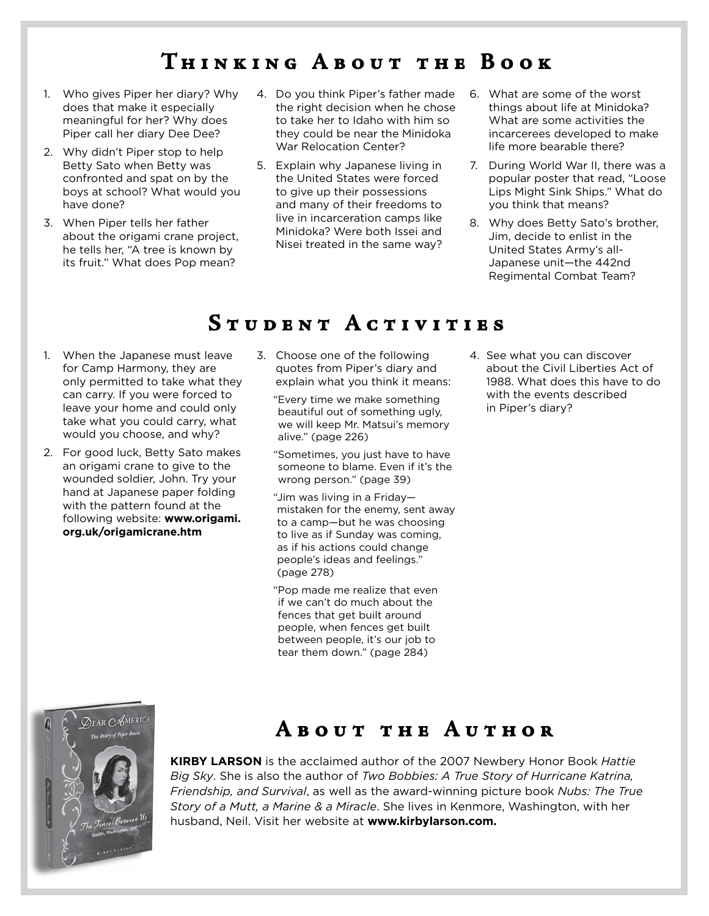## **T h i n k i n g A b o u t t h e B o o k**

- 1. Who gives Piper her diary? Why does that make it especially meaningful for her? Why does Piper call her diary Dee Dee?
- 2. Why didn't Piper stop to help Betty Sato when Betty was confronted and spat on by the boys at school? What would you have done?
- 3. When Piper tells her father about the origami crane project, he tells her, "A tree is known by its fruit." What does Pop mean?
- 4. Do you think Piper's father made the right decision when he chose to take her to Idaho with him so they could be near the Minidoka War Relocation Center?
- 5. Explain why Japanese living in the United States were forced to give up their possessions and many of their freedoms to live in incarceration camps like Minidoka? Were both Issei and Nisei treated in the same way?
- 6. What are some of the worst things about life at Minidoka? What are some activities the incarcerees developed to make life more bearable there?
- 7. During World War II, there was a popular poster that read, "Loose Lips Might Sink Ships." What do you think that means?
- 8. Why does Betty Sato's brother, Jim, decide to enlist in the United States Army's all-Japanese unit—the 442nd Regimental Combat Team?

### **S t u d e n t A c t i v i t i e s**

- 1. When the Japanese must leave for Camp Harmony, they are only permitted to take what they can carry. If you were forced to leave your home and could only take what you could carry, what would you choose, and why?
- 2. For good luck, Betty Sato makes an origami crane to give to the wounded soldier, John. Try your hand at Japanese paper folding with the pattern found at the following website: **www.origami. org.uk/origamicrane.htm**
- 3. Choose one of the following quotes from Piper's diary and explain what you think it means:

"Every time we make something beautiful out of something ugly, we will keep Mr. Matsui's memory alive." (page 226)

"Sometimes, you just have to have someone to blame. Even if it's the wrong person." (page 39)

"Jim was living in a Friday mistaken for the enemy, sent away to a camp—but he was choosing to live as if Sunday was coming, as if his actions could change people's ideas and feelings." (page 278)

"Pop made me realize that even if we can't do much about the fences that get built around people, when fences get built between people, it's our job to tear them down." (page 284)

4. See what you can discover about the Civil Liberties Act of 1988. What does this have to do with the events described in Piper's diary?

# **ØEAR CAMERICA** Diary of Piper D.

## **ABOUT THE AUTHOR**

**Kirby Larson** is the acclaimed author of the 2007 Newbery Honor Book *Hattie Big Sky*. She is also the author of *Two Bobbies: A True Story of Hurricane Katrina, Friendship, and Survival*, as well as the award-winning picture book *Nubs: The True Story of a Mutt, a Marine & a Miracle*. She lives in Kenmore, Washington, with her husband, Neil. Visit her website at **www.kirbylarson.com.**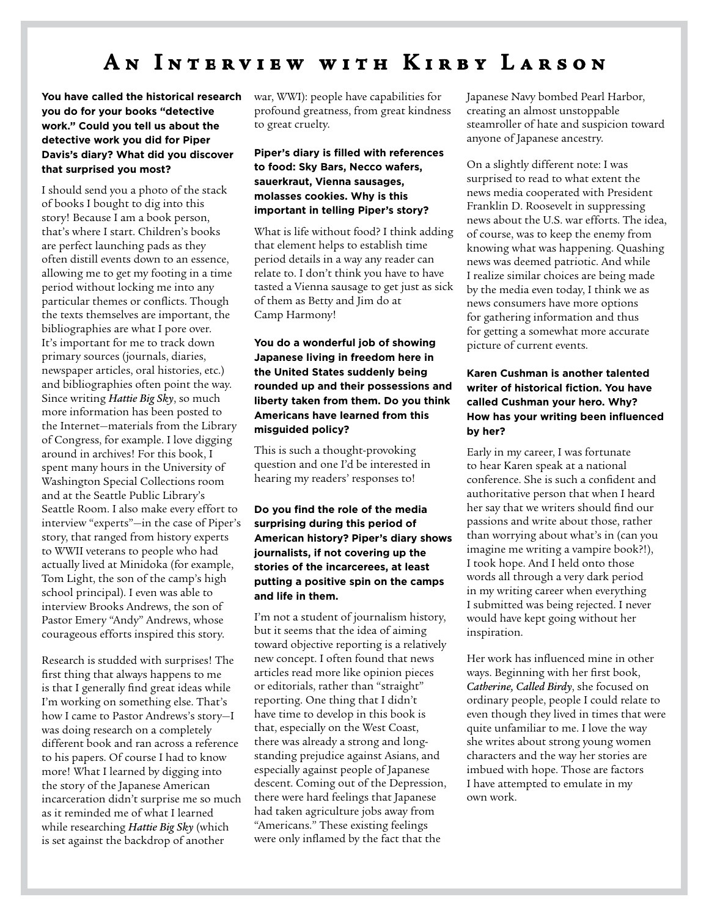## AN INTERVIEW WITH KIRBY LARSON

**You have called the historical research you do for your books "detective work." Could you tell us about the detective work you did for Piper Davis's diary? What did you discover that surprised you most?**

I should send you a photo of the stack of books I bought to dig into this story! Because I am a book person, that's where I start. Children's books are perfect launching pads as they often distill events down to an essence, allowing me to get my footing in a time period without locking me into any particular themes or conflicts. Though the texts themselves are important, the bibliographies are what I pore over. It's important for me to track down primary sources (journals, diaries, newspaper articles, oral histories, etc.) and bibliographies often point the way. Since writing *Hattie Big Sky*, so much more information has been posted to the Internet—materials from the Library of Congress, for example. I love digging around in archives! For this book, I spent many hours in the University of Washington Special Collections room and at the Seattle Public Library's Seattle Room. I also make every effort to interview "experts"—in the case of Piper's story, that ranged from history experts to WWII veterans to people who had actually lived at Minidoka (for example, Tom Light, the son of the camp's high school principal). I even was able to interview Brooks Andrews, the son of Pastor Emery "Andy" Andrews, whose courageous efforts inspired this story.

Research is studded with surprises! The first thing that always happens to me is that I generally find great ideas while I'm working on something else. That's how I came to Pastor Andrews's story—I was doing research on a completely different book and ran across a reference to his papers. Of course I had to know more! What I learned by digging into the story of the Japanese American incarceration didn't surprise me so much as it reminded me of what I learned while researching *Hattie Big Sky* (which is set against the backdrop of another

war, WWI): people have capabilities for profound greatness, from great kindness to great cruelty.

#### **Piper's diary is filled with references to food: Sky Bars, Necco wafers, sauerkraut, Vienna sausages, molasses cookies. Why is this important in telling Piper's story?**

What is life without food? I think adding that element helps to establish time period details in a way any reader can relate to. I don't think you have to have tasted a Vienna sausage to get just as sick of them as Betty and Jim do at Camp Harmony!

#### **You do a wonderful job of showing Japanese living in freedom here in the United States suddenly being rounded up and their possessions and liberty taken from them. Do you think Americans have learned from this misguided policy?**

This is such a thought-provoking question and one I'd be interested in hearing my readers' responses to!

#### **Do you find the role of the media surprising during this period of American history? Piper's diary shows journalists, if not covering up the stories of the incarcerees, at least putting a positive spin on the camps and life in them.**

I'm not a student of journalism history, but it seems that the idea of aiming toward objective reporting is a relatively new concept. I often found that news articles read more like opinion pieces or editorials, rather than "straight" reporting. One thing that I didn't have time to develop in this book is that, especially on the West Coast, there was already a strong and longstanding prejudice against Asians, and especially against people of Japanese descent. Coming out of the Depression, there were hard feelings that Japanese had taken agriculture jobs away from "Americans." These existing feelings were only inflamed by the fact that the

Japanese Navy bombed Pearl Harbor, creating an almost unstoppable steamroller of hate and suspicion toward anyone of Japanese ancestry.

On a slightly different note: I was surprised to read to what extent the news media cooperated with President Franklin D. Roosevelt in suppressing news about the U.S. war efforts. The idea, of course, was to keep the enemy from knowing what was happening. Quashing news was deemed patriotic. And while I realize similar choices are being made by the media even today, I think we as news consumers have more options for gathering information and thus for getting a somewhat more accurate picture of current events.

#### **Karen Cushman is another talented writer of historical fiction. You have called Cushman your hero. Why? How has your writing been influenced by her?**

Early in my career, I was fortunate to hear Karen speak at a national conference. She is such a confident and authoritative person that when I heard her say that we writers should find our passions and write about those, rather than worrying about what's in (can you imagine me writing a vampire book?!), I took hope. And I held onto those words all through a very dark period in my writing career when everything I submitted was being rejected. I never would have kept going without her inspiration.

Her work has influenced mine in other ways. Beginning with her first book, *Catherine, Called Birdy*, she focused on ordinary people, people I could relate to even though they lived in times that were quite unfamiliar to me. I love the way she writes about strong young women characters and the way her stories are imbued with hope. Those are factors I have attempted to emulate in my own work.